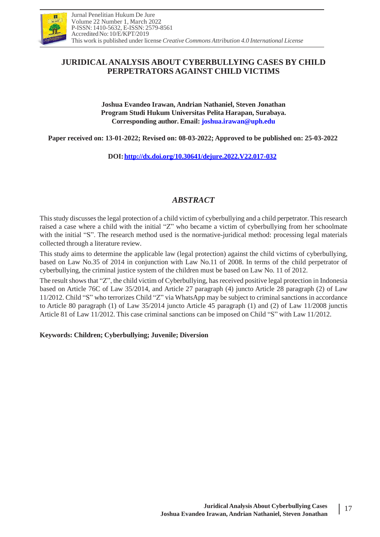

# **JURIDICALANALYSIS ABOUT CYBERBULLYING CASES BY CHILD PERPETRATORS AGAINST CHILD VICTIMS**

**Joshua Evandeo Irawan, Andrian Nathaniel, Steven Jonathan Program Studi Hukum Universitas Pelita Harapan, Surabaya. Corresponding author. Email: [joshua.irawan@uph.edu](mailto:joshua.irawan@uph.edu)**

**Paper received on: 13-01-2022; Revised on: 08-03-2022; Approved to be published on: 25-03-2022**

**DOI[:http://dx.doi.org/10.30641/dejure.2022.V22.017-032](http://dx.doi.org/10.30641/dejure.2022.V22.017-032)**

# *ABSTRACT*

Thisstudy discussesthe legal protection of a child victim of cyberbullying and a child perpetrator. Thisresearch raised a case where a child with the initial "Z" who became a victim of cyberbullying from her schoolmate with the initial "S". The research method used is the normative-juridical method: processing legal materials collected through a literature review.

This study aims to determine the applicable law (legal protection) against the child victims of cyberbullying, based on Law No.35 of 2014 in conjunction with Law No.11 of 2008. In terms of the child perpetrator of cyberbullying, the criminal justice system of the children must be based on Law No. 11 of 2012.

The result shows that "Z", the child victim of Cyberbullying, has received positive legal protection in Indonesia based on Article 76C of Law 35/2014, and Article 27 paragraph (4) juncto Article 28 paragraph (2) of Law 11/2012. Child "S" who terrorizes Child "Z" via WhatsApp may be subject to criminal sanctions in accordance to Article 80 paragraph (1) of Law 35/2014 juncto Article 45 paragraph (1) and (2) of Law 11/2008 junctis Article 81 of Law 11/2012. This case criminal sanctions can be imposed on Child "S" with Law 11/2012.

### **Keywords: Children; Cyberbullying; Juvenile; Diversion**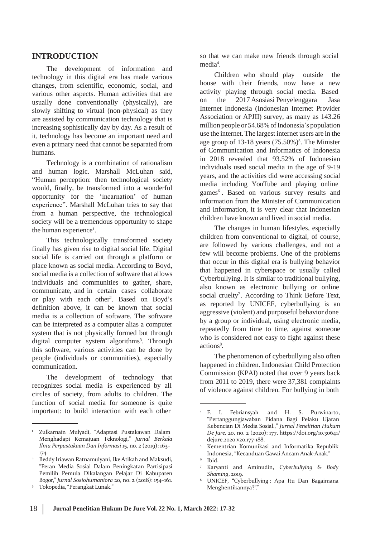### **INTRODUCTION**

The development of information and technology in this digital era has made various changes, from scientific, economic, social, and various other aspects. Human activities that are usually done conventionally (physically), are slowly shifting to virtual (non-physical) as they are assisted by communication technology that is increasing sophistically day by day. As a result of it, technology has become an important need and even a primary need that cannot be separated from humans.

Technology is a combination of rationalism and human logic. Marshall McLuhan said, "Human perception: then technological society would, finally, be transformed into a wonderful opportunity for the 'incarnation' of human experience". Marshall McLuhan tries to say that from a human perspective, the technological society will be a tremendous opportunity to shape the human experience<sup>1</sup>.

This technologically transformed society finally has given rise to digital social life. Digital social life is carried out through a platform or place known as social media. According to Boyd, social media is a collection of software that allows individuals and communities to gather, share, communicate, and in certain cases collaborate or play with each other<sup>2</sup>. Based on Boyd's definition above, it can be known that social media is a collection of software. The software can be interpreted as a computer alias a computer system that is not physically formed but through digital computer system algorithms<sup>3</sup>. Through this software, various activities can be done by people (individuals or communities), especially communication.

The development of technology that recognizes social media is experienced by all circles of society, from adults to children. The function of social media for someone is quite important: to build interaction with each other  $4 F. I.$  Febriansyah and H. S. Purwinarto,

so that we can make new friends through social media<sup>4</sup>.

Children who should play outside the house with their friends, now have a new activity playing through social media. Based on the 2017 Asosiasi Penyelenggara Jasa Internet Indonesia (Indonesian Internet Provider Association or APJII) survey, as many as 143.26 million people or 54.68% of Indonesia's population use the internet. The largest internet users are in the age group of 13-18 years (75.50%)<sup>5</sup>. The Minister of Communication and Informatics of Indonesia in 2018 revealed that 93.52% of Indonesian individuals used social media in the age of 9-19 years, and the activities did were accessing social media including YouTube and playing online games<sup>6</sup>. Based on various survey results and information from the Minister of Communication and Information, it is very clear that Indonesian children have known and lived in social media.

The changes in human lifestyles, especially children from conventional to digital, of course, are followed by various challenges, and not a few will become problems. One of the problems that occur in this digital era is bullying behavior that happened in cyberspace or usually called Cyberbullying. It is similar to traditional bullying, also known as electronic bullying or online social cruelty<sup>7</sup>. According to Think Before Text, as reported by UNICEF, cyberbullying is an aggressive (violent) and purposeful behavior done by a group or individual, using electronic media, repeatedly from time to time, against someone who is considered not easy to fight against these actions<sup>8</sup>.

The phenomenon of cyberbullying also often happened in children. Indonesian Child Protection Commission (KPAI) noted that over 9 years back from 2011 to 2019, there were 37,381 complaints of violence against children. For bullying in both

5

<sup>1</sup> Zulkarnain Mulyadi, "Adaptasi Pustakawan Dalam Menghadapi Kemajuan Teknologi," *Jurnal Berkala Ilmu Perpustakaan Dan Informasi* 15, no. 2 (2019): 163– 174.

Beddy Iriawan Ratnamulyani, Ike Atikah and Maksudi, 2 6 "Peran Media Sosial Dalam Peningkatan Partisipasi Pemilih Pemula Dikalangan Pelajar Di Kabupaten Bogor," *Jurnal Sosiohumaniora* 20, no. 2 (2018): 154–161.

Tokopedia,"Perangkat Lunak." 3

<sup>&</sup>quot;Pertanggungjawaban Pidana Bagi Pelaku Ujaran Kebencian Di Media Sosial.," *Jurnal Penelitian Hukum De Jure,* 20, no. 2 (2020): 177, https://doi.org/10.30641/ dejure.2020.v20.177-188.

Kementrian Komunikasi and Informatika Republik Indonesia, "Kecanduan Gawai Ancam Anak-Anak."

Ibid.

Karyanti and Aminudin, *Cyberbullying & Body Shaming*, 2019. 7

UNICEF, "Cyberbullying : Apa Itu Dan Bagaimana Menghentikannya?"." 8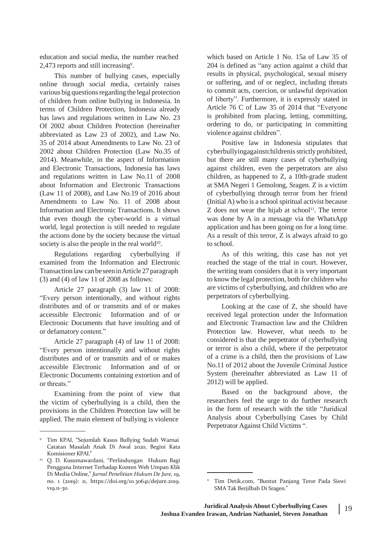education and social media, the number reached 2,473 reports and still increasing<sup>9</sup>.

This number of bullying cases, especially online through social media, certainly raises various big questions regarding the legal protection of children from online bullying in Indonesia. In terms of Children Protection, Indonesia already has laws and regulations written in Law No. 23 Of 2002 about Children Protection (hereinafter abbreviated as Law 23 of 2002), and Law No. 35 of 2014 about Amendments to Law No. 23 of 2002 about Children Protection (Law No.35 of 2014). Meanwhile, in the aspect of Information and Electronic Transactions, Indonesia has laws and regulations written in Law No.11 of 2008 about Information and Electronic Transactions (Law 11 of 2008), and Law No.19 of 2016 about Amendments to Law No. 11 of 2008 about Information and Electronic Transactions. It shows that even though the cyber-world is a virtual world, legal protection is still needed to regulate the actions done by the society because the virtual society is also the people in the real world<sup>10</sup>.

Regulations regarding cyberbullying if examined from the Information and Electronic Transactionlawcan be seeninArticle27 paragraph (3) and (4) of law 11 of 2008 as follows:

Article 27 paragraph (3) law 11 of 2008: "Every person intentionally, and without rights distributes and of or transmits and of or makes accessible Electronic Information and of or Electronic Documents that have insulting and of or defamatory content."

Article 27 paragraph (4) of law 11 of 2008: "Every person intentionally and without rights distributes and of or transmits and of or makes accessible Electronic Information and of or Electronic Documents containing extortion and of or threats."

Examining from the point of view that the victim of cyberbullying is a child, then the provisions in the Children Protection law will be applied. The main element of bullying is violence

which based on Article 1 No. 15a of Law 35 of 204 is defined as "any action against a child that results in physical, psychological, sexual misery or suffering, and of or neglect, including threats to commit acts, coercion, or unlawful deprivation of liberty". Furthermore, it is expressly stated in Article 76 C of Law 35 of 2014 that "Everyone is prohibited from placing, letting, committing, ordering to do, or participating in committing violence against children".

Positive law in Indonesia stipulates that cyberbullyingagainstchildrenis strictly prohibited, but there are still many cases of cyberbullying against children, even the perpetrators are also children, as happened to Z, a 10th-grade student at SMA Negeri 1 Gemolong, Sragen. Z is a victim of cyberbullying through terror from her friend (Initial A) who is a school spiritual activist because  $Z$  does not wear the hijab at school<sup>11</sup>. The terror was done by A in a message via the WhatsApp application and has been going on for a long time. As a result of this terror, Z is always afraid to go to school.

As of this writing, this case has not yet reached the stage of the trial in court. However, the writing team considers that it is very important to know the legal protection, both for children who are victims of cyberbullying, and children who are perpetrators of cyberbullying.

Looking at the case of Z, she should have received legal protection under the Information and Electronic Transaction law and the Children Protection law. However, what needs to be considered is that the perpetrator of cyberbullying or terror is also a child, where if the perpetrator of a crime is a child, then the provisions of Law No.11 of 2012 about the Juvenile Criminal Justice System (hereinafter abbreviated as Law 11 of 2012) will be applied.

Based on the background above, the researchers feel the urge to do further research in the form of research with the title "Juridical Analysis about Cyberbullying Cases by Child Perpetrator Against Child Victims ".

<sup>9</sup> Tim KPAI, "Sejumlah Kasus Bullying Sudah Warnai Catatan Masalah Anak Di Awal 2020, Begini Kata Komisioner KPAI."

Q. D. Kusumawardani, "Perlindungan Hukum Bagi 10 Pengguna Internet Terhadap Konten Web Umpan Klik Di Media Online," *Jurnal Penelitian Hukum De Jure,* 19, no. 1 (2019): 11, https://doi.org/10.30641/dejure.2019. v19.11-30.

Tim Detik.com, "Buntut Panjang Teror Pada Siswi SMA Tak Berjilbab Di Sragen."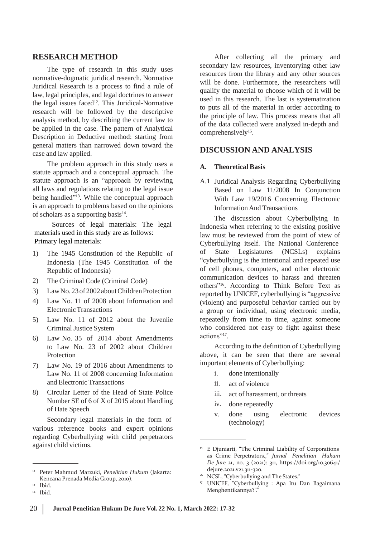### **RESEARCH METHOD**

The type of research in this study uses normative-dogmatic juridical research. Normative Juridical Research is a process to find a rule of law, legal principles, and legal doctrines to answer the legal issues faced<sup>12</sup>. This Juridical-Normative research will be followed by the descriptive analysis method, by describing the current law to be applied in the case. The pattern of Analytical Description in Deductive method: starting from general matters than narrowed down toward the case and law applied.

The problem approach in this study uses a statute approach and a conceptual approach. The statute approach is an "approach by reviewing all laws and regulations relating to the legal issue being handled"<sup>13</sup>. While the conceptual approach is an approach to problems based on the opinions of scholars as a supporting basis<sup>14</sup>.

 Sources of legal materials: The legal materials used in this study are as follows: Primary legal materials:

- Indonesia (The 1945 Constitution of Republic of Indonesia)
- The Criminal Code (Criminal Code) 2)
- 3) Law No. 23 of 2002 about Children Protection
- 4) Law No. 11 of 2008 about Information and ElectronicTransactions
- Law No. 11 of 2012 about the Juvenlie Criminal Justice System 5)
- Law No. 35 of 2014 about Amendments to Law No. 23 of 2002 about Children Protection 6)
- Law No. 19 of 2016 about Amendments to Law No. 11 of 2008 concerning Information and Electronic Transactions 7)
- Circular Letter of the Head of State Police Number SE of 6 of X of 2015 about Handling of Hate Speech 8)

Secondary legal materials in the form of various reference books and expert opinions regarding Cyberbullying with child perpetrators against child victims.<br><sup>15</sup> E Djuniarti, "The Criminal Liability of Corporations

<sup>14</sup> Ibid.

After collecting all the primary and secondary law resources, inventorying other law resources from the library and any other sources will be done. Furthermore, the researchers will qualify the material to choose which of it will be used in this research. The last is systematization to puts all of the material in order according to the principle of law. This process means that all of the data collected were analyzed in-depth and comprehensively<sup>15</sup>.

### **DISCUSSION AND ANALYSIS**

#### **A. Theoretical Basis**

A.1 Juridical Analysis Regarding Cyberbullying Based on Law 11/2008 In Conjunction With Law 19/2016 Concerning Electronic InformationAnd Transactions

The discussion about Cyberbullying in Indonesia when referring to the existing positive law must be reviewed from the point of view of Cyberbullying itself. The National Conference 1) The 1945 Constitution of the Republic of of State Legislatures (NCSLs) explains "cyberbullying is the intentional and repeated use of cell phones, computers, and other electronic communication devices to harass and threaten others"<sup>16</sup> . According to Think Before Text as reported by UNICEF, cyberbullying is "aggressive (violent) and purposeful behavior carried out by a group or individual, using electronic media, repeatedly from time to time, against someone who considered not easy to fight against these actions"<sup>17</sup>.

> According to the definition of Cyberbullying above, it can be seen that there are several important elements of Cyberbullying:

- i. done intentionally
- ii. act of violence
- iii. act of harassment, or threats
- iv. done repeatedly
- v. done using electronic devices (technology)

<sup>12</sup> Peter Mahmud Marzuki, *Penelitian Hukum* (Jakarta: Kencana Prenada Media Group, 2010).

<sup>&</sup>lt;sup>13</sup> Ibid.

as Crime Perpetrators.," *Jurnal Penelitian Hukum De Jure* 21, no. 3 (2021): 311, https://doi.org/10.30641/ dejure.2021.v21.311-320.

<sup>&</sup>lt;sup>16</sup> NCSL, "Cyberbullying and The States."

UNICEF, "Cyberbullying : Apa Itu Dan Bagaimana 17 Menghentikannya?"."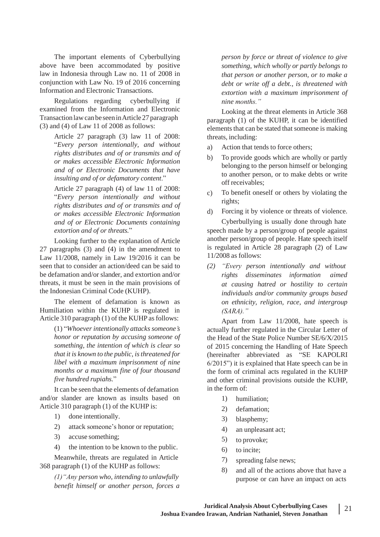The important elements of Cyberbullying above have been accommodated by positive law in Indonesia through Law no. 11 of 2008 in conjunction with Law No. 19 of 2016 concerning Information and Electronic Transactions.

Regulations regarding cyberbullying if examined from the Information and Electronic Transactionlawcan be seeninArticle27 paragraph (3) and (4) of Law 11 of 2008 as follows:

> Article 27 paragraph (3) law 11 of 2008: "*Every person intentionally, and without rights distributes and of or transmits and of or makes accessible Electronic Information and of or Electronic Documents that have insulting and of or defamatory content*."

> Article 27 paragraph (4) of law 11 of 2008: "*Every person intentionally and without rights distributes and of or transmits and of or makes accessible Electronic Information and of or Electronic Documents containing extortion and of or threats.*"

Looking further to the explanation of Article 27 paragraphs (3) and (4) in the amendment to Law 11/2008, namely in Law 19/2016 it can be seen that to consider an action/deed can be said to be defamation and/or slander, and extortion and/or threats, it must be seen in the main provisions of the Indonesian Criminal Code (KUHP).

The element of defamation is known as Humiliation within the KUHP is regulated in Article 310 paragraph  $(1)$  of the KUHP as follows:

(1) "*Whoever intentionally attacks someone's honor or reputation by accusing someone of something, the intention of which is clear so that it is known to the public, isthreatened for libel with a maximum imprisonment of nine months or a maximum fine of four thousand five hundred rupiahs.*"

It can be seen that the elements of defamation and/or slander are known as insults based on 1) Article 310 paragraph (1) of the KUHP is:

- 1) done intentionally.
- 2) attack someone's honor or reputation;
- 3) accuse something;
- 4) the intention to be known to the public.

Meanwhile, threats are regulated in Article 368 paragraph (1) of the KUHP as follows:

> *(1)"Any person who, intending to unlawfully benefit himself or another person, forces a*

*person by force or threat of violence to give something, which wholly or partly belongs to that person or another person, or to make a debt or write off a debt., is threatened with extortion with a maximum imprisonment of nine months."*

Looking at the threat elements in Article 368 paragraph (1) of the KUHP, it can be identified elements that can be stated that someone is making threats, including:

- a) Action that tends to force others;
- b) To provide goods which are wholly or partly belonging to the person himself or belonging to another person, or to make debts or write off receivables;
- To benefit oneself or others by violating the rights; c)
- Forcing it by violence or threats of violence. d)

Cyberbullying is usually done through hate speech made by a person/group of people against another person/group of people. Hate speech itself is regulated in Article 28 paragraph (2) of Law 11/2008 as follows:

*(2) "Every person intentionally and without rights disseminates information aimed at causing hatred or hostility to certain individuals and/or community groups based on ethnicity, religion, race, and intergroup (SARA)."*

Apart from Law 11/2008, hate speech is actually further regulated in the Circular Letter of the Head of the State Police Number SE/6/X/2015 of 2015 concerning the Handling of Hate Speech (hereinafter abbreviated as "SE KAPOLRI 6/2015") it is explained that Hate speech can be in the form of criminal acts regulated in the KUHP and other criminal provisions outside the KUHP, in the form of:

- humiliation;
- 2) defamation;
- 3) blasphemy;
- 4) an unpleasant act;
- 5) to provoke;
- 6) to incite;
- 7) spreading false news;
- 8) and all of the actions above that have a purpose or can have an impact on acts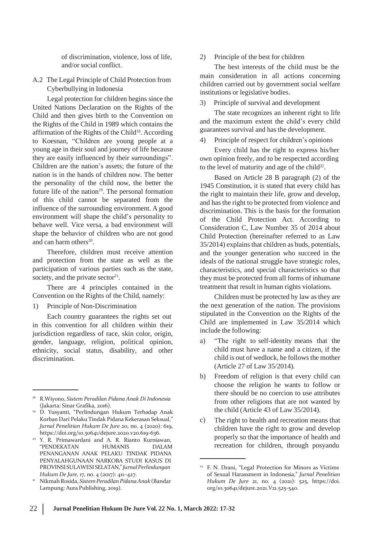of discrimination, violence, loss of life, and/or social conflict.

A.2 The Legal Principle of Child Protection from Cyberbullying in Indonesia

Legal protection for children begins since the United Nations Declaration on the Rights of the Child and then gives birth to the Convention on the Rights of the Child in 1989 which contains the affirmation of the Rights of the Child<sup>18</sup>. According to Koesnan, "Children are young people at a young age in their soul and journey of life because they are easily influenced by their surroundings". Children are the nation's assets; the future of the nation is in the hands of children now. The better the personality of the child now, the better the future life of the nation $19$ . The personal formation of this child cannot be separated from the influence of the surrounding environment. A good environment will shape the child's personality to behave well. Vice versa, a bad environment will shape the behavior of children who are not good and can harm others<sup>20</sup>.

Therefore, children must receive attention and protection from the state as well as the participation of various parties such as the state, society, and the private sector $21$ .

There are 4 principles contained in the Convention on the Rights of the Child, namely:

1) Principle of Non-Discrimination

Each country guarantees the rights set out in this convention for all children within their jurisdiction regardless of race, skin color, origin, gender, language, religion, political opinion, ethnicity, social status, disability, and other discrimination.

2) Principle of the best for children

The best interests of the child must be the main consideration in all actions concerning children carried out by government social welfare institutions or legislative bodies.

#### 3) Principle of survival and development

The state recognizes an inherent right to life and the maximum extent the child's every child guarantees survival and has the development.

4) Principle of respect for children's opinions

Every child has the right to express his/her own opinion freely, and to be respected according to the level of maturity and age of the child<sup>22</sup>.

Based on Article 28 B paragraph (2) of the 1945 Constitution, it is stated that every child has the right to maintain their life, grow and develop, and has the right to be protected from violence and discrimination. This is the basis for the formation of the Child Protection Act. According to Consideration C, Law Number 35 of 2014 about Child Protection (hereinafter referred to as Law 35/2014) explains that children as buds, potentials, and the younger generation who succeed in the ideals of the national struggle have strategic roles, characteristics, and special characteristics so that they must be protected from all forms of inhumane treatment that result in human rights violations.

Children must be protected by law as they are the next generation of the nation. The provisions stipulated in the Convention on the Rights of the Child are implemented in Law 35/2014 which include the following:

- a) "The right to self-identity means that the child must have a name and a citizen, if the child is out of wedlock, he follows the mother (Article 27 of Law 35/2014).
- Freedom of religion is that every child can choose the religion he wants to follow or there should be no coercion to use attributes from other religions that are not wanted by the child (Article 43 of Law 35/2014). b)
- The right to health and recreation means that children have the right to grow and develop properly so that the importance of health and recreation for children, through posyandu c)

<sup>18</sup> R.Wiyono, *Sistem Peradilan Pidana Anak Di Indonesia* (Jakarta: Sinar Grafika, 2016).

D. Yusyanti, "Perlindungan Hukum Terhadap Anak 19 Korban Dari Pelaku Tindak Pidana Kekerasan Seksual," *Jurnal Penelitian Hukum De Jure* 20, no. 4 (2020): 619, https://doi.org/10.30641/dejure.2020.v20.619-636.

Y. R. Primawardani and A. R. Rianto Kurniawan, 20 "PENDEKATAN HUMANIS DALAM PENANGANAN ANAK PELAKU TINDAK PIDANA PENYALAHGUNAAN NARKOBA STUDI KASUS DI PROVINSI SULAWESISELATAN,"*JurnalPerlindungan Hukum De Jure,* 17, no. 4 (2017): 411–427.

NikmahRosida, *Sistem PeradilanPidanaAnak* (Bandar Lampung: Aura Publishing, 2019). 21

<sup>&</sup>lt;sup>22</sup> F. N. Drani, "Legal Protection for Minors as Victims of Sexual Harassment in Indonesia," *Jurnal Penelitian Hukum De Jure* 21, no. 4 (2021): 525, https://doi. org/10.30641/dejure.2021.V21.525-540.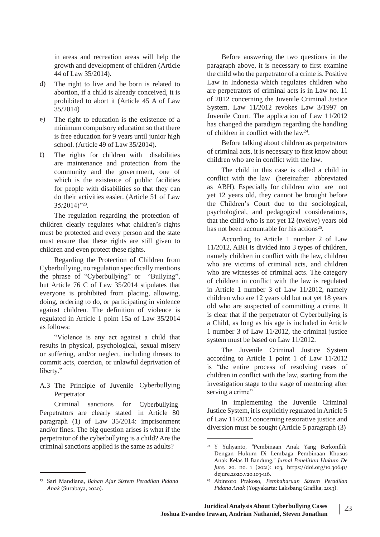in areas and recreation areas will help the growth and development of children (Article 44 of Law 35/2014).

- The right to live and be born is related to abortion, if a child is already conceived, it is prohibited to abort it (Article 45 A of Law 35/2014) d)
- The right to education is the existence of a minimum compulsory education so that there is free education for 9 years until junior high school. (Article 49 of Law 35/2014). e)
- The rights for children with disabilities are maintenance and protection from the community and the government, one of which is the existence of public facilities for people with disabilities so that they can do their activities easier. (Article 51 of Law 35/2014)"<sup>23</sup> . f)

The regulation regarding the protection of children clearly regulates what children's rights must be protected and every person and the state must ensure that these rights are still given to children and even protect these rights.

Regarding the Protection of Children from Cyberbullying, no regulation specifically mentions the phrase of "Cyberbullying" or "Bullying", but Article 76 C of Law 35/2014 stipulates that everyone is prohibited from placing, allowing, doing, ordering to do, or participating in violence against children. The definition of violence is regulated in Article 1 point 15a of Law 35/2014 as follows:

"Violence is any act against a child that results in physical, psychological, sexual misery or suffering, and/or neglect, including threats to commit acts, coercion, or unlawful deprivation of liberty."

### A.3 The Principle of Juvenile Cyberbullying Perpetrator

Criminal sanctions for Cyberbullying Perpetrators are clearly stated in Article 80 paragraph (1) of Law 35/2014: imprisonment and/or fines. The big question arises is what if the perpetrator of the cyberbullying is a child? Are the criminal sanctions applied is the same as adults? <sup>24</sup> Y Yuliyanto, "Pembinaan Anak Yang Berkonflik

Before answering the two questions in the paragraph above, it is necessary to first examine the child who the perpetrator of a crime is. Positive Law in Indonesia which regulates children who are perpetrators of criminal acts is in Law no. 11 of 2012 concerning the Juvenile Criminal Justice System. Law 11/2012 revokes Law 3/1997 on Juvenile Court. The application of Law 11/2012 has changed the paradigm regarding the handling of children in conflict with the  $law<sup>24</sup>$ .

Before talking about children as perpetrators of criminal acts, it is necessary to first know about children who are in conflict with the law.

The child in this case is called a child in conflict with the law (hereinafter abbreviated as ABH). Especially for children who are not yet 12 years old, they cannot be brought before the Children's Court due to the sociological, psychological, and pedagogical considerations, that the child who is not yet 12 (twelve) years old has not been accountable for his actions<sup>25</sup>.

According to Article 1 number 2 of Law 11/2012, ABH is divided into 3 types of children, namely children in conflict with the law, children who are victims of criminal acts, and children who are witnesses of criminal acts. The category of children in conflict with the law is regulated in Article 1 number 3 of Law 11/2012, namely children who are 12 years old but not yet 18 years old who are suspected of committing a crime. It is clear that if the perpetrator of Cyberbullying is a Child, as long as his age is included in Article 1 number 3 of Law 11/2012, the criminal justice system must be based on Law 11/2012.

The Juvenile Criminal Justice System according to Article 1 point 1 of Law 11/2012 is "the entire process of resolving cases of children in conflict with the law, starting from the investigation stage to the stage of mentoring after serving a crime"

In implementing the Juvenile Criminal Justice System, it is explicitly regulated inArticle 5 of Law 11/2012 concerning restorative justice and diversion must be sought (Article 5 paragraph (3)

<sup>23</sup> Sari Mandiana, *Bahan Ajar Sistem Peradilan Pidana Anak* (Surabaya, 2020).

Dengan Hukum Di Lembaga Pembinaan Khusus Anak Kelas II Bandung," *Jurnal Penelitian Hukum De Jure,* 20, no. 1 (2021): 103, https://doi.org/10.30641/ dejure.2020.v20.103-116.

Abintoro Prakoso, *Pembaharuan Sistem Peradilan* 25 *Pidana Anak* (Yogyakarta: Laksbang Grafika, 2013).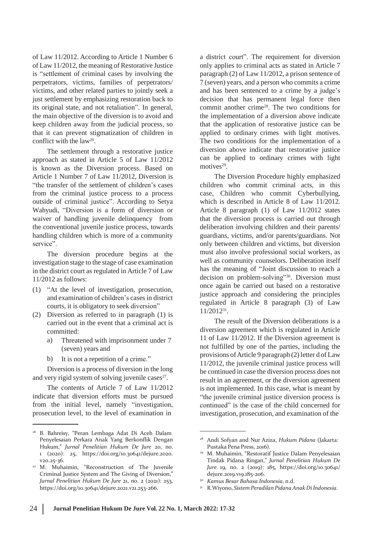of Law 11/2012. According to Article 1 Number 6 of Law 11/2012, the meaning of Restorative Justice is "settlement of criminal cases by involving the perpetrators, victims, families of perpetrators/ victims, and other related parties to jointly seek a just settlement by emphasizing restoration back to its original state, and not retaliation". In general, the main objective of the diversion is to avoid and keep children away from the judicial process, so that it can prevent stigmatization of children in conflict with the  $law<sup>26</sup>$ .

The settlement through a restorative justice approach as stated in Article 5 of Law 11/2012 is known as the Diversion process. Based on Article 1 Number 7 of Law 11/2012, Diversion is "the transfer of the settlement of children's cases from the criminal justice process to a process outside of criminal justice". According to Setya Wahyudi, "Diversion is a form of diversion or waiver of handling juvenile delinquency from the conventional juvenile justice process, towards handling children which is more of a community service".

The diversion procedure begins at the investigation stage to the stage of case examination in the district court as regulated in Article 7 of Law 11/2012 as follows:

- (1) "At the level of investigation, prosecution, and examination of children's cases in district courts, it is obligatory to seek diversion"
- (2) Diversion as referred to in paragraph (1) is carried out in the event that a criminal act is committed:
	- a) Threatened with imprisonment under 7 (seven) years and
	- b) It is not a repetition of a crime."

Diversion is a process of diversion in the long and very rigid system of solving juvenile cases<sup>27</sup>.

The contents of Article 7 of Law 11/2012 indicate that diversion efforts must be pursued from the initial level, namely "investigation, prosecution level, to the level of examination in

a district court". The requirement for diversion only applies to criminal acts as stated in Article 7 paragraph (2) of Law 11/2012, a prison sentence of 7 (seven) years, and a person who commits a crime and has been sentenced to a crime by a judge's decision that has permanent legal force then commit another crime<sup>28</sup> . The two conditions for the implementation of a diversion above indicate that the application of restorative justice can be applied to ordinary crimes with light motives. The two conditions for the implementation of a diversion above indicate that restorative justice can be applied to ordinary crimes with light motives $29$ .

The Diversion Procedure highly emphasized children who commit criminal acts, in this case, Children who commit Cyberbullying, which is described in Article 8 of Law 11/2012. Article 8 paragraph (1) of Law 11/2012 states that the diversion process is carried out through deliberation involving children and their parents/ guardians, victims, and/or parents/guardians. Not only between children and victims, but diversion must also involve professional social workers, as well as community counselors. Deliberation itself has the meaning of "Joint discussion to reach a decision on problem-solving"<sup>30</sup> . Diversion must once again be carried out based on a restorative justice approach and considering the principles regulated in Article 8 paragraph (3) of Law 11/2012<sup>31</sup> .

The result of the Diversion deliberations is a diversion agreement which is regulated in Article 11 of Law 11/2012. If the Diversion agreement is not fulfilled by one of the parties, including the provisions of Article 9 paragraph (2) letter d of Law 11/2012, the juvenile criminal justice process will be continued in case the diversion process does not result in an agreement, or the diversion agreement is not implemented. In this case, what is meant by "the juvenile criminal justice diversion process is continued" is the case of the child concerned for investigation, prosecution, and examination of the

<sup>26</sup> B. Bahreisy, "Peran Lembaga Adat Di Aceh Dalam Penyelesaian Perkara Anak Yang Berkonflik Dengan Hukum," *Jurnal Penelitian Hukum De Jure* 20, no. 1 (2020): 25, https://doi.org/10.30641/dejure.2020. v20.25-36.

M. Muhaimin, "Reconstruction of The Juvenile 27 Criminal Justice System and The Giving of Diversion," *Jurnal Penelitian Hukum De Jure* 21, no. 2 (2021): 253, https://doi.org/10.30641/dejure.2021.v21.253-266.

<sup>28</sup> Andi Sofyan and Nur Aziza, *Hukum Pidana* (Jakarta: Pustaka Pena Press, 2016).

M. Muhaimin, "Restoratif Justice Dalam Penyelesaian 29 Tindak Pidana Ringan," *Jurnal Penelitian Hukum De Jure* 19, no. 2 (2019): 185, https://doi.org/10.30641/ dejure.2019.v19.185-206.

*Kamus Besar Bahasa Indonesia*, n.d. 30

<sup>&</sup>lt;sup>31</sup> R.Wiyono, Sistem Peradilan Pidana Anak Di Indonesia.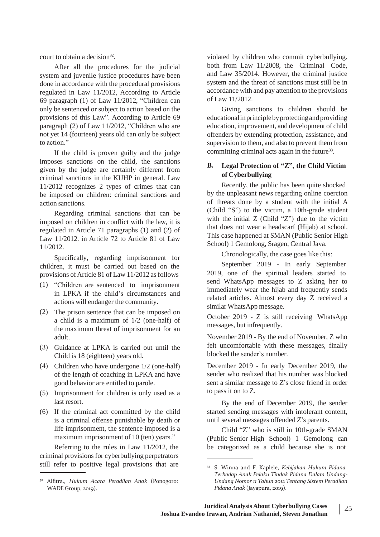court to obtain a decision<sup>32</sup>.

After all the procedures for the judicial system and juvenile justice procedures have been done in accordance with the procedural provisions regulated in Law 11/2012, According to Article 69 paragraph (1) of Law 11/2012, "Children can only be sentenced or subject to action based on the provisions of this Law". According to Article 69 paragraph (2) of Law 11/2012, "Children who are not yet 14 (fourteen) years old can only be subject to action."

If the child is proven guilty and the judge imposes sanctions on the child, the sanctions given by the judge are certainly different from criminal sanctions in the KUHP in general. Law 11/2012 recognizes 2 types of crimes that can be imposed on children: criminal sanctions and action sanctions.

Regarding criminal sanctions that can be imposed on children in conflict with the law, it is regulated in Article 71 paragraphs (1) and (2) of Law 11/2012. in Article 72 to Article 81 of Law 11/2012.

Specifically, regarding imprisonment for children, it must be carried out based on the provisions ofArticle 81 of Law 11/2012 asfollows

- (1) "Children are sentenced to imprisonment in LPKA if the child's circumstances and actions will endanger the community.
- (2) The prison sentence that can be imposed on a child is a maximum of 1/2 (one-half) of the maximum threat of imprisonment for an adult.
- (3) Guidance at LPKA is carried out until the Child is 18 (eighteen) years old.
- Children who have undergone 1/2 (one-half) (4) of the length of coaching in LPKA and have good behavior are entitled to parole.
- (5) Imprisonment for children is only used as a last resort.
- If the criminal act committed by the child (6) is a criminal offense punishable by death or life imprisonment, the sentence imposed is a maximum imprisonment of 10 (ten) years."

Referring to the rules in Law 11/2012, the criminal provisions for cyberbullying perpetrators still refer to positive legal provisions that are <sup>33</sup> S. Winna and F. Kaplele, *Kebijakan Hukum Pidana*

violated by children who commit cyberbullying. both from Law 11/2008, the Criminal Code, and Law 35/2014. However, the criminal justice system and the threat of sanctions must still be in accordance with and pay attention to the provisions of Law 11/2012.

Giving sanctions to children should be educationalinprinciplebyprotectingandproviding education, improvement, and development of child offenders by extending protection, assistance, and supervision to them, and also to prevent them from committing criminal acts again in the future<sup>33</sup>.

### **B. Legal Protection of "Z", the Child Victim of Cyberbullying**

Recently, the public has been quite shocked by the unpleasant news regarding online coercion of threats done by a student with the initial A (Child "S") to the victim, a 10th-grade student with the initial  $Z$  (Child "Z") due to the victim that does not wear a headscarf (Hijab) at school. This case happened at SMAN (Public Senior High School) 1 Gemolong, Sragen, Central Java.

Chronologically, the case goes like this:

September 2019 - In early September 2019, one of the spiritual leaders started to send WhatsApp messages to Z asking her to immediately wear the hijab and frequently sends related articles. Almost every day Z received a similar WhatsApp message.

October 2019 - Z is still receiving WhatsApp messages, but infrequently.

November 2019 - By the end of November, Z who felt uncomfortable with these messages, finally blocked the sender's number.

December 2019 - In early December 2019, the sender who realized that his number was blocked sent a similar message to Z's close friend in order to pass it on to Z.

By the end of December 2019, the sender started sending messages with intolerant content, until several messages offended Z's parents.

Child "Z" who is still in 10th-grade SMAN (Public Senior High School) 1 Gemolong can be categorized as a child because she is not

<sup>32</sup> Alfitra., *Hukum Acara Peradilan Anak* (Ponogoro: WADE Group, 2019).

*Terhadap Anak Pelaku Tindak Pidana Dalam Undang-Undang Nomor 11 Tahun 2012 Tentang Sistem Peradilan Pidana Anak* (Jayapura, 2019).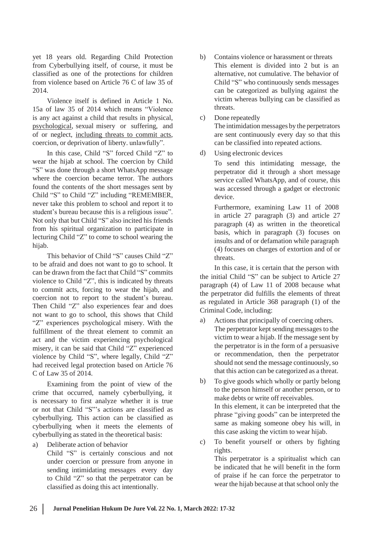yet 18 years old. Regarding Child Protection from Cyberbullying itself, of course, it must be classified as one of the protections for children from violence based on Article 76 C of law 35 of 2014.

Violence itself is defined in Article 1 No. 15a of law 35 of 2014 which means "Violence is any act against a child that results in physical, psychological, sexual misery or suffering, and of or neglect, including threats to commit acts, coercion, or deprivation of liberty. unlawfully".

In this case, Child "S" forced Child "Z" to wear the hijab at school. The coercion by Child "S" was done through a short WhatsApp message where the coercion became terror. The authors found the contents of the short messages sent by Child "S" to Child "Z" including "REMEMBER, never take this problem to school and report it to student's bureau because this is a religious issue". Not only that but Child "S" also incited his friends from his spiritual organization to participate in lecturing Child "Z" to come to school wearing the hijab.

This behavior of Child "S" causes Child "Z" to be afraid and does not want to go to school. It can be drawn from the fact that Child "S" commits violence to Child "Z", this is indicated by threats to commit acts, forcing to wear the hijab, and coercion not to report to the student's bureau. Then Child "Z" also experiences fear and does not want to go to school, this shows that Child "Z" experiences psychological misery. With the fulfillment of the threat element to commit an act and the victim experiencing psychological misery, it can be said that Child "Z" experienced violence by Child "S", where legally, Child "Z" had received legal protection based on Article 76 C of Law 35 of 2014.

Examining from the point of view of the b) crime that occurred, namely cyberbullying, it is necessary to first analyze whether it is true or not that Child "S"'s actions are classified as cyberbullying. This action can be classified as cyberbullying when it meets the elements of cyberbullying as stated in the theoretical basis:

c) a) Deliberate action of behavior

Child "S" is certainly conscious and not under coercion or pressure from anyone in sending intimidating messages every day to Child "Z" so that the perpetrator can be classified as doing this act intentionally.

- b) Contains violence or harassment or threats This element is divided into 2 but is an alternative, not cumulative. The behavior of Child "S" who continuously sends messages can be categorized as bullying against the victim whereas bullying can be classified as threats.
- Done repeatedly c)

The intimidation messages by the perpetrators are sent continuously every day so that this can be classified into repeated actions.

Using electronic devices d)

> To send this intimidating message, the perpetrator did it through a short message service called WhatsApp, and of course, this was accessed through a gadget or electronic device.

> Furthermore, examining Law 11 of 2008 in article 27 paragraph (3) and article 27 paragraph (4) as written in the theoretical basis, which in paragraph (3) focuses on insults and of or defamation while paragraph (4) focuses on charges of extortion and of or threats.

In this case, it is certain that the person with the initial Child "S" can be subject to Article 27 paragraph (4) of Law 11 of 2008 because what the perpetrator did fulfills the elements of threat as regulated in Article 368 paragraph (1) of the Criminal Code, including:

- a) Actions that principally of coercing others. The perpetrator kept sending messages to the victim to wear a hijab. If the message sent by the perpetrator is in the form of a persuasive or recommendation, then the perpetrator should not send the message continuously, so that this action can be categorized as a threat.
- To give goods which wholly or partly belong to the person himself or another person, or to make debts or write off receivables. In this element, it can be interpreted that the phrase "giving goods" can be interpreted the same as making someone obey his will, in this case asking the victim to wear hijab.
- To benefit yourself or others by fighting rights. This perpetrator is a spiritualist which can be indicated that he will benefit in the form of praise if he can force the perpetrator to wear the hijab because at that school only the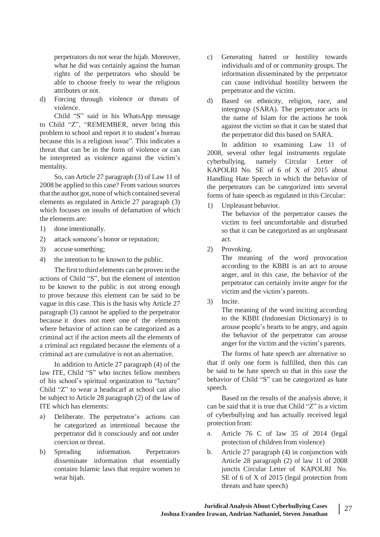perpetrators do not wear the hijab. Moreover, what he did was certainly against the human rights of the perpetrators who should be able to choose freely to wear the religious attributes or not.

d) Forcing through violence or threats of d) violence.

Child "S" said in his WhatsApp message to Child "Z", "REMEMBER, never bring this problem to school and report it to student's bureau because this is a religious issue". This indicates a threat that can be in the form of violence or can be interpreted as violence against the victim's mentality.

So, can Article 27 paragraph (3) of Law 11 of 2008 be applied to this case? From various sources that the author got, none of which contained several elements as regulated in Article 27 paragraph (3) which focuses on insults of defamation of which the elements are:

- 1) done intentionally.
- 2) attack someone's honor or reputation;
- 3) accuse something;
- 4) the intention to be known to the public.

The first to third elements can be proven in the actions of Child "S", but the element of intention to be known to the public is not strong enough to prove because this element can be said to be vague in this case. This is the basis why Article 27 paragraph (3) cannot be applied to the perpetrator because it does not meet one of the elements where behavior of action can be categorized as a criminal act if the action meets all the elements of a criminal act regulated because the elements of a criminal act are cumulative is not an alternative.

In addition to Article 27 paragraph (4) of the law ITE, Child "S" who incites fellow members of his school's spiritual organization to "lecture" Child "Z" to wear a headscarf at school can also be subject to Article 28 paragraph (2) of the law of ITE which has elements:

- a) Deliberate. The perpetrator's actions can be categorized as intentional because the perpetrator did it consciously and not under coercion or threat.
- b) Spreading information. Perpetrators b. disseminate information that essentially contains Islamic laws that require women to wear hijab.
- c) Generating hatred or hostility towards individuals and of or community groups. The information disseminated by the perpetrator can cause individual hostility between the perpetrator and the victim.
- Based on ethnicity, religion, race, and intergroup (SARA). The perpetrator acts in the name of Islam for the actions he took against the victim so that it can be stated that the perpetrator did this based on SARA.

In addition to examining Law 11 of 2008, several other legal instruments regulate cyberbullying, namely Circular Letter of KAPOLRI No. SE of 6 of X of 2015 about Handling Hate Speech in which the behavior of the perpetrators can be categorized into several forms of hate speech as regulated in this Circular:

1) Unpleasant behavior.

The behavior of the perpetrator causes the victim to feel uncomfortable and disturbed so that it can be categorized as an unpleasant act.

Provoking. 2)

> The meaning of the word provocation according to the KBBI is an act to arouse anger, and in this case, the behavior of the perpetrator can certainly invite anger for the victim and the victim's parents.

Incite. 3)

> The meaning of the word inciting according to the KBBI (Indonesian Dictionary) is to arouse people's hearts to be angry, and again the behavior of the perpetrator can arouse anger for the victim and the victim's parents.

The forms of hate speech are alternative so that if only one form is fulfilled, then this can be said to be hate speech so that in this case the behavior of Child "S" can be categorized as hate speech.

Based on the results of the analysis above, it can be said that it is true that Child "Z" is a victim of cyberbullying and has actually received legal protection from:

- a. Article 76 C of law 35 of 2014 (legal protection of children from violence)
- Article 27 paragraph (4) in conjunction with Article 28 paragraph (2) of law 11 of 2008 junctis Circular Letter of KAPOLRI No. SE of 6 of X of 2015 (legal protection from threats and hate speech)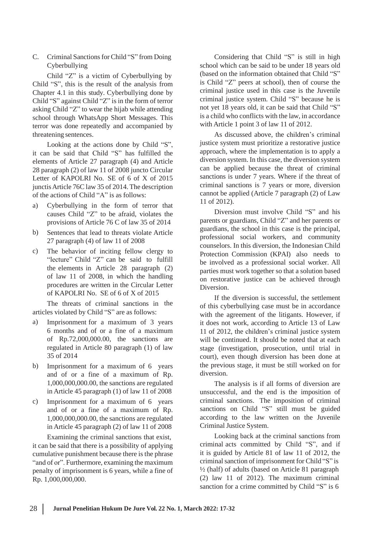C. Criminal Sanctions for Child "S" from Doing Cyberbullying

Child "Z" is a victim of Cyberbullying by Child "S", this is the result of the analysis from Chapter 4.1 in this study. Cyberbullying done by Child "S" against Child "Z" is in the form of terror asking Child "Z" to wear the hijab while attending school through WhatsApp Short Messages. This terror was done repeatedly and accompanied by threatening sentences.

Looking at the actions done by Child "S", it can be said that Child "S" has fulfilled the elements of Article 27 paragraph (4) and Article 28 paragraph (2) of law 11 of 2008 juncto Circular Letter of KAPOLRI No. SE of 6 of X of 2015 junctisArticle 76C law 35 of 2014.The description of the actions of Child "A" is as follows:

- a) Cyberbullying in the form of terror that causes Child "Z" to be afraid, violates the provisions of Article 76 C of law 35 of 2014
- Sentences that lead to threats violate Article 27 paragraph (4) of law 11 of 2008 b)
- The behavior of inciting fellow clergy to "lecture" Child "Z" can be said to fulfill the elements in Article 28 paragraph (2) of law 11 of 2008, in which the handling procedures are written in the Circular Letter of KAPOLRI No. SE of 6 of X of 2015 c)

The threats of criminal sanctions in the articles violated by Child "S" are as follows:

- a) Imprisonment for a maximum of 3 years 6 months and of or a fine of a maximum of Rp.72,000,000.00, the sanctions are regulated in Article 80 paragraph (1) of law 35 of 2014
- Imprisonment for a maximum of 6 years and of or a fine of a maximum of Rp. 1,000,000,000.00, the sanctions are regulated in Article 45 paragraph (1) of law 11 of 2008 b)
- Imprisonment for a maximum of 6 years and of or a fine of a maximum of Rp. 1,000,000,000.00, the sanctions are regulated in Article 45 paragraph (2) of law 11 of 2008 c)

Examining the criminal sanctions that exist, it can be said that there is a possibility of applying cumulative punishment because there is the phrase "and of or". Furthermore, examining the maximum penalty of imprisonment is 6 years, while a fine of Rp. 1,000,000,000.

Considering that Child "S" is still in high school which can be said to be under 18 years old (based on the information obtained that Child "S" is Child "Z" peers at school), then of course the criminal justice used in this case is the Juvenile criminal justice system. Child "S" because he is not yet 18 years old, it can be said that Child "S" is a child who conflicts with the law, in accordance with Article 1 point 3 of law 11 of 2012.

As discussed above, the children's criminal justice system must prioritize a restorative justice approach, where the implementation is to apply a diversion system. In this case, the diversion system can be applied because the threat of criminal sanctions is under 7 years. Where if the threat of criminal sanctions is 7 years or more, diversion cannot be applied (Article 7 paragraph (2) of Law 11 of 2012).

Diversion must involve Child "S" and his parents or guardians, Child "Z" and her parents or guardians, the school in this case is the principal, professional social workers, and community counselors. In this diversion, the Indonesian Child Protection Commission (KPAI) also needs to be involved as a professional social worker. All parties must work together so that a solution based on restorative justice can be achieved through Diversion.

If the diversion is successful, the settlement of this cyberbullying case must be in accordance with the agreement of the litigants. However, if it does not work, according to Article 13 of Law 11 of 2012, the children's criminal justice system will be continued. It should be noted that at each stage (investigation, prosecution, until trial in court), even though diversion has been done at the previous stage, it must be still worked on for diversion.

The analysis is if all forms of diversion are unsuccessful, and the end is the imposition of criminal sanctions. The imposition of criminal sanctions on Child "S" still must be guided according to the law written on the Juvenile Criminal Justice System.

Looking back at the criminal sanctions from criminal acts committed by Child "S", and if it is guided by Article 81 of law 11 of 2012, the criminalsanction of imprisonment for Child "S" is ½ (half) of adults (based on Article 81 paragraph (2) law 11 of 2012). The maximum criminal sanction for a crime committed by Child "S" is 6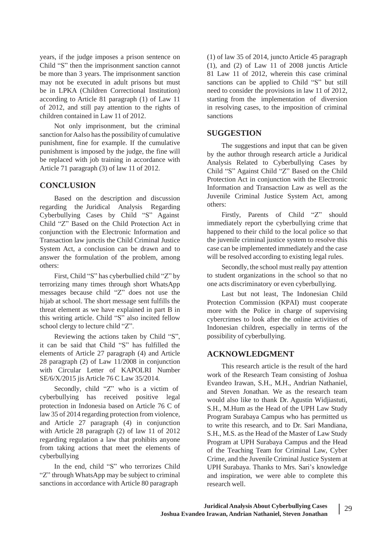years, if the judge imposes a prison sentence on Child "S" then the imprisonment sanction cannot be more than 3 years. The imprisonment sanction may not be executed in adult prisons but must be in LPKA (Children Correctional Institution) according to Article 81 paragraph (1) of Law 11 of 2012, and still pay attention to the rights of children contained in Law 11 of 2012.

Not only imprisonment, but the criminal sanction for Aalso has the possibility of cumulative punishment, fine for example. If the cumulative punishment is imposed by the judge, the fine will be replaced with job training in accordance with Article 71 paragraph (3) of law 11 of 2012.

# **CONCLUSION**

Based on the description and discussion regarding the Juridical Analysis Regarding Cyberbullying Cases by Child "S" Against Child "Z" Based on the Child Protection Act in conjunction with the Electronic Information and Transaction law junctis the Child Criminal Justice System Act, a conclusion can be drawn and to answer the formulation of the problem, among others:

First, Child "S" has cyberbullied child "Z" by terrorizing many times through short WhatsApp messages because child "Z" does not use the hijab at school. The short message sent fulfills the threat element as we have explained in part B in this writing article. Child "S" also incited fellow school clergy to lecture child "Z".

Reviewing the actions taken by Child "S", it can be said that Child "S" has fulfilled the elements of Article 27 paragraph (4) and Article 28 paragraph (2) of Law 11/2008 in conjunction with Circular Letter of KAPOLRI Number SE/6/X/2015 jis Article 76 C Law 35/2014.

Secondly, child "Z" who is a victim of cyberbullying has received positive legal protection in Indonesia based on Article 76 C of law 35 of 2014 regarding protection from violence, and Article 27 paragraph (4) in conjunction with Article 28 paragraph (2) of law 11 of 2012 regarding regulation a law that prohibits anyone from taking actions that meet the elements of cyberbullying

In the end, child "S" who terrorizes Child "Z" through WhatsApp may be subject to criminal sanctions in accordance with Article 80 paragraph

(1) of law 35 of 2014, juncto Article 45 paragraph (1), and (2) of Law 11 of 2008 junctis Article 81 Law 11 of 2012, wherein this case criminal sanctions can be applied to Child "S" but still need to consider the provisions in law 11 of 2012, starting from the implementation of diversion in resolving cases, to the imposition of criminal sanctions

### **SUGGESTION**

The suggestions and input that can be given by the author through research article a Juridical Analysis Related to Cyberbullying Cases by Child "S" Against Child "Z" Based on the Child Protection Act in conjunction with the Electronic Information and Transaction Law as well as the Juvenile Criminal Justice System Act, among others:

Firstly, Parents of Child "Z" should immediately report the cyberbullying crime that happened to their child to the local police so that the juvenile criminal justice system to resolve this case can be implemented immediately and the case will be resolved according to existing legal rules.

Secondly, the school must really pay attention to student organizations in the school so that no one acts discriminatory or even cyberbullying.

Last but not least, The Indonesian Child Protection Commission (KPAI) must cooperate more with the Police in charge of supervising cybercrimes to look after the online activities of Indonesian children, especially in terms of the possibility of cyberbullying.

## **ACKNOWLEDGMENT**

This research article is the result of the hard work of the Research Team consisting of Joshua Evandeo Irawan, S.H., M.H., Andrian Nathaniel, and Steven Jonathan. We as the research team would also like to thank Dr. Agustin Widjiastuti, S.H., M.Hum as the Head of the UPH Law Study Program Surabaya Campus who has permitted us to write this research, and to Dr. Sari Mandiana, S.H., M.S. as the Head of the Master of Law Study Program at UPH Surabaya Campus and the Head of the Teaching Team for Criminal Law, Cyber Crime, and the Juvenile Criminal Justice System at UPH Surabaya. Thanks to Mrs. Sari's knowledge and inspiration, we were able to complete this research well.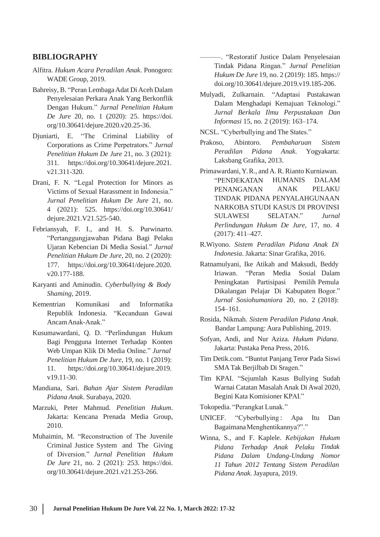### **BIBLIOGRAPHY**

- Alfitra. *Hukum Acara Peradilan Anak*. Ponogoro: WADE Group, 2019.
- Bahreisy, B. "Peran Lembaga Adat Di Aceh Dalam Penyelesaian Perkara Anak Yang Berkonflik Dengan Hukum." *Jurnal Penelitian Hukum De Jure* 20, no. 1 (2020): 25. https://doi. org/10.30641/dejure.2020.v20.25-36.
- Djuniarti, E. "The Criminal Liability of Corporations as Crime Perpetrators." *Jurnal Penelitian Hukum De Jure* 21, no. 3 (2021): 311. https://doi.org/10.30641/dejure.2021. v21.311-320.
- Drani, F. N. "Legal Protection for Minors as Victims of Sexual Harassment in Indonesia." *Jurnal Penelitian Hukum De Jure* 21, no. 4 (2021): 525. https://doi.org/10.30641/ dejure.2021.V21.525-540.
- Febriansyah, F. I., and H. S. Purwinarto. "Pertanggungjawaban Pidana Bagi Pelaku Ujaran Kebencian Di Media Sosial." *Jurnal Penelitian Hukum De Jure*, 20, no. 2 (2020): v20.177-188.
- Karyanti and Aminudin. *Cyberbullying & Body Shaming*, 2019.
- Kementrian Komunikasi and Informatika Republik Indonesia. "Kecanduan Gawai AncamAnak-Anak."
- Kusumawardani, Q. D. "Perlindungan Hukum Bagi Pengguna Internet Terhadap Konten Web Umpan Klik Di Media Online." *Jurnal Penelitian Hukum De Jure*, 19, no. 1 (2019): 11. https://doi.org/10.30641/dejure.2019. v19.11-30.
- Mandiana, Sari. *Bahan Ajar Sistem Peradilan Pidana Anak*. Surabaya, 2020.
- Marzuki, Peter Mahmud. *Penelitian Hukum*. Jakarta: Kencana Prenada Media Group, 2010.
- Muhaimin, M. "Reconstruction of The Juvenile Criminal Justice System and The Giving of Diversion." *Jurnal Penelitian Hukum De Jure* 21, no. 2 (2021): 253. https://doi. org/10.30641/dejure.2021.v21.253-266.

———. "Restoratif Justice Dalam Penyelesaian Tindak Pidana Ringan." *Jurnal Penelitian Hukum De Jure* 19, no. 2 (2019): 185. https:// doi.org/10.30641/dejure.2019.v19.185-206.

- Mulyadi, Zulkarnain. "Adaptasi Pustakawan Dalam Menghadapi Kemajuan Teknologi." *Jurnal Berkala Ilmu Perpustakaan Dan Informasi* 15, no. 2 (2019): 163–174.
- NCSL. "Cyberbullying and The States."
- Prakoso, Abintoro. *Pembaharuan Sistem Peradilan Pidana Anak*. Yogyakarta: Laksbang Grafika, 2013.
- Primawardani, Y.R., and A.R. Rianto Kurniawan. "PENDEKATAN PENANGANAN HUMANIS DALAM ANAK PELAKU TINDAK PIDANA PENYALAHGUNAAN NARKOBA STUDI KASUS DI PROVINSI SULAWESI SELATAN." *Jurnal Perlindungan Hukum De Jure*, 17, no. 4 (2017): 411–427.
- R.Wiyono. *Sistem Peradilan Pidana Anak Di Indonesia*. Jakarta: Sinar Grafika, 2016.
- 177. https://doi.org/10.30641/dejure.2020. Ratnamulyani, Ike Atikah and Maksudi, Beddy Iriawan. "Peran Media Sosial Dalam Peningkatan Partisipasi Pemilih Pemula Dikalangan Pelajar Di Kabupaten Bogor." *Jurnal Sosiohumaniora* 20, no. 2 (2018): 154–161.
	- Rosida, Nikmah. *Sistem Peradilan Pidana Anak*. Bandar Lampung: Aura Publishing, 2019.
	- Sofyan, Andi, and Nur Aziza. *Hukum Pidana*. Jakarta: Pustaka Pena Press, 2016.
	- Tim Detik.com. "Buntut Panjang Teror Pada Siswi SMA Tak Berjilbab Di Sragen."
	- Tim KPAI. "Sejumlah Kasus Bullying Sudah Warnai Catatan Masalah Anak Di Awal 2020, Begini Kata Komisioner KPAI."
	- Tokopedia. "Perangkat Lunak."
	- UNICEF. "Cyberbullying: Apa Itu Dan BagaimanaMenghentikannya?"."
	- Winna, S., and F. Kaplele. *Kebijakan Hukum Pidana Terhadap Anak Pelaku Tindak Pidana Dalam Undang-Undang Nomor 11 Tahun 2012 Tentang Sistem Peradilan Pidana Anak*. Jayapura, 2019.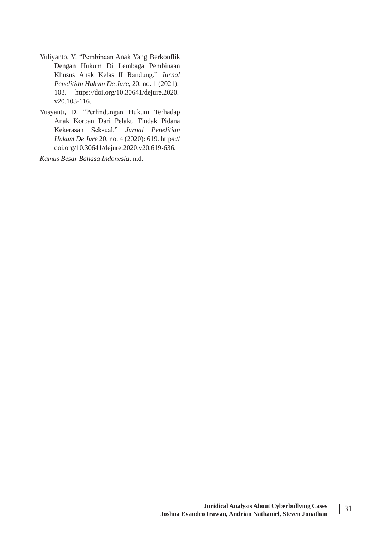- Yuliyanto, Y. "Pembinaan Anak Yang Berkonflik Dengan Hukum Di Lembaga Pembinaan Khusus Anak Kelas II Bandung." *Jurnal Penelitian Hukum De Jure*, 20, no. 1 (2021): 103. https://doi.org/10.30641/dejure.2020. v20.103-116.
- Yusyanti, D. "Perlindungan Hukum Terhadap Anak Korban Dari Pelaku Tindak Pidana Kekerasan Seksual." *Jurnal Penelitian Hukum De Jure* 20, no. 4 (2020): 619. https:// doi.org/10.30641/dejure.2020.v20.619-636.

*Kamus Besar Bahasa Indonesia*, n.d.